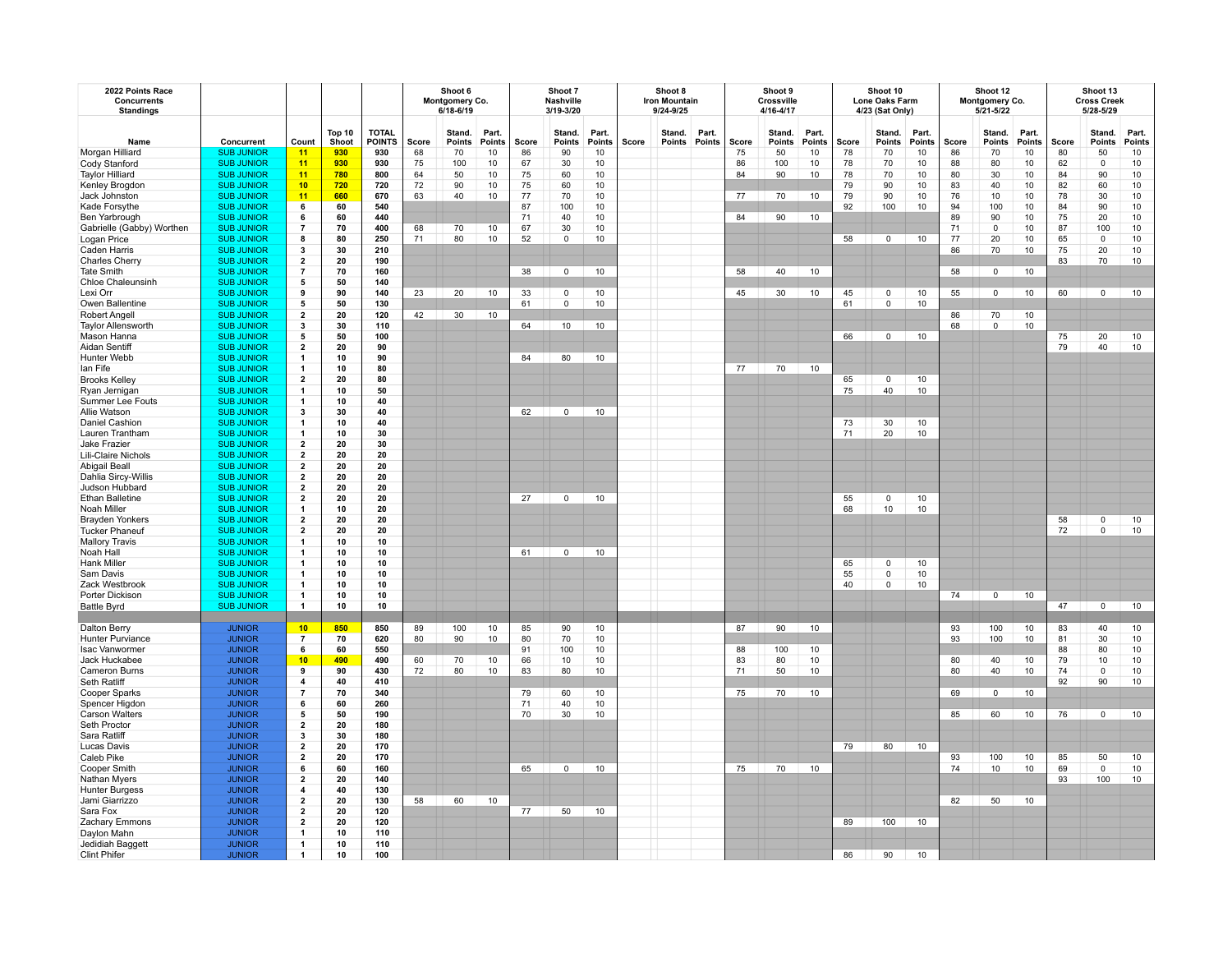| 2022 Points Race<br>Concurrents<br><b>Standings</b> |                                |                              |                 |                               |       | Shoot 6<br>Montgomery Co.<br>$6/18 - 6/19$ |                 |          | Shoot 7<br>Nashville<br>3/19-3/20 |                        |              | Shoot 8<br><b>Iron Mountain</b><br>9/24-9/25 |                 |       | Shoot 9<br>Crossville<br>4/16-4/17 |                 |       | Shoot 10<br>Lone Oaks Farm<br>4/23 (Sat Only) |                 |       | Shoot 12<br>Montgomery Co.<br>5/21-5/22 |                 | Shoot 13<br><b>Cross Creek</b><br>5/28-5/29 |                         |                 |
|-----------------------------------------------------|--------------------------------|------------------------------|-----------------|-------------------------------|-------|--------------------------------------------|-----------------|----------|-----------------------------------|------------------------|--------------|----------------------------------------------|-----------------|-------|------------------------------------|-----------------|-------|-----------------------------------------------|-----------------|-------|-----------------------------------------|-----------------|---------------------------------------------|-------------------------|-----------------|
| Name                                                | Concurrent                     | Count                        | Top 10<br>Shoot | <b>TOTAL</b><br><b>POINTS</b> | Score | Stand.<br><b>Points</b>                    | Part.<br>Points | Score    | Stand.<br>Points                  | Part.<br><b>Points</b> | <b>Score</b> | Stand.<br><b>Points</b>                      | Part.<br>Points | Score | Stand.<br><b>Points</b>            | Part.<br>Points | Score | Stand.<br><b>Points</b>                       | Part.<br>Points | Score | Stand.<br><b>Points</b>                 | Part.<br>Points | Score                                       | Stand.<br><b>Points</b> | Part.<br>Points |
| Morgan Hilliard                                     | <b>SUB JUNIOR</b>              | $-11$                        | 930             | 930                           | 68    | 70                                         | 10              | 86       | 90                                | 10                     |              |                                              |                 | 75    | 50                                 | 10              | 78    | 70                                            | 10              | 86    | 70                                      | 10              | 80                                          | 50                      | 10              |
| Cody Stanford                                       | <b>SUB JUNIOR</b>              | 11                           | 930             | 930                           | 75    | 100                                        | 10              | 67       | 30                                | 10                     |              |                                              |                 | 86    | 100                                | 10              | 78    | 70                                            | 10              | 88    | 80                                      | $10$            | 62                                          | 0                       | 10              |
| <b>Taylor Hilliard</b>                              | <b>SUB JUNIOR</b>              | 11                           | 780             | 800                           | 64    | 50                                         | 10              | 75       | 60                                | 10                     |              |                                              |                 | 84    | 90                                 | 10              | 78    | 70                                            | 10              | 80    | 30                                      | 10              | 84                                          | 90                      | $10$            |
| Kenley Brogdon                                      | <b>SUB JUNIOR</b>              | 10                           | 720             | 720                           | 72    | 90                                         | 10              | 75       | 60                                | 10                     |              |                                              |                 |       |                                    |                 | 79    | 90                                            | 10              | 83    | 40                                      | $10$            | 82                                          | 60                      | 10              |
| Jack Johnston                                       | <b>SUB JUNIOR</b>              | 11                           | 660             | 670                           | 63    | 40                                         | 10              | 77       | 70                                | 10                     |              |                                              |                 | 77    | 70                                 | 10              | 79    | 90                                            | 10              | 76    | 10                                      | 10              | 78                                          | 30                      | 10              |
| Kade Forsythe                                       | <b>SUB JUNIOR</b>              | 6                            | 60              | 540                           |       |                                            |                 | 87       | 100                               | 10                     |              |                                              |                 |       |                                    |                 | 92    | 100                                           | 10              | 94    | 100                                     | 10              | 84                                          | 90                      | 10              |
| Ben Yarbrough                                       | <b>SUB JUNIOR</b>              | 6                            | 60              | 440                           |       |                                            |                 | 71       | 40                                | 10                     |              |                                              |                 | 84    | 90                                 | 10 <sup>1</sup> |       |                                               |                 | 89    | 90                                      | 10              | 75                                          | 20                      | $10$            |
| Gabrielle (Gabby) Worthen                           | <b>SUB JUNIOR</b>              | $\overline{7}$               | 70              | 400                           | 68    | 70                                         | 10              | 67       | 30                                | 10                     |              |                                              |                 |       |                                    |                 |       |                                               |                 | 71    | $\mathbf{0}$                            | 10              | 87                                          | 100                     | $10$            |
| Logan Price                                         | <b>SUB JUNIOR</b>              | 8                            | 80              | 250                           | 71    | 80                                         | 10              | 52       | $\mathbf 0$                       | 10                     |              |                                              |                 |       |                                    |                 | 58    | $\Omega$                                      | 10              | 77    | 20                                      | 10              | 65                                          | $\mathbf 0$             | $10\,$          |
| Caden Harris                                        | <b>SUB JUNIOR</b>              | 3                            | 30              | 210                           |       |                                            |                 |          |                                   |                        |              |                                              |                 |       |                                    |                 |       |                                               |                 | 86    | 70                                      | 10              | 75                                          | 20                      | 10              |
| <b>Charles Cherry</b>                               | <b>SUB JUNIOR</b>              | $\overline{2}$               | 20              | 190                           |       |                                            |                 |          |                                   |                        |              |                                              |                 |       |                                    |                 |       |                                               |                 |       |                                         |                 | 83                                          | 70                      | 10              |
| <b>Tate Smith</b>                                   | <b>SUB JUNIOR</b>              | 7                            | 70              | 160                           |       |                                            |                 | 38       | $\mathbf 0$                       | 10                     |              |                                              |                 | 58    | 40                                 | 10              |       |                                               |                 | 58    | $\mathbf 0$                             | 10              |                                             |                         |                 |
| <b>Chloe Chaleunsinh</b>                            | <b>SUB JUNIOR</b>              | 5                            | 50              | 140                           |       |                                            |                 |          |                                   |                        |              |                                              |                 |       |                                    |                 |       |                                               |                 |       |                                         |                 |                                             |                         |                 |
| Lexi Orr                                            | <b>SUB JUNIOR</b>              | 9                            | 90              | 140                           | 23    | 20                                         | 10              | 33       | $\mathbf 0$                       | 10                     |              |                                              |                 | 45    | 30                                 | 10              | 45    | $\mathsf{o}\,$                                | 10              | 55    | $\mathbf 0$                             | 10              | 60                                          | $\circ$                 | 10              |
| Owen Ballentine                                     | <b>SUB JUNIOR</b>              | 5                            | 50              | 130                           |       |                                            |                 | 61       | $\mathsf 0$                       | 10                     |              |                                              |                 |       |                                    |                 | 61    | $\mathbf 0$                                   | 10              |       |                                         |                 |                                             |                         |                 |
| Robert Angell                                       | <b>SUB JUNIOR</b>              | 2                            | 20              | 120                           | 42    | 30                                         | 10              |          |                                   |                        |              |                                              |                 |       |                                    |                 |       |                                               |                 | 86    | 70                                      | 10              |                                             |                         |                 |
| Taylor Allensworth                                  | <b>SUB JUNIOR</b>              | 3                            | 30              | 110                           |       |                                            |                 | 64       | 10                                | 10                     |              |                                              |                 |       |                                    |                 |       |                                               |                 | 68    | $\mathsf 0$                             | 10              |                                             |                         |                 |
| Mason Hanna                                         | <b>SUB JUNIOR</b>              | 5                            | 50              | 100                           |       |                                            |                 |          |                                   |                        |              |                                              |                 |       |                                    |                 | 66    | $\mathbf 0$                                   | 10              |       |                                         |                 | 75                                          | 20                      | 10              |
| Aidan Sentiff                                       | <b>SUB JUNIOR</b>              | $\overline{\mathbf{2}}$      | 20              | 90                            |       |                                            |                 |          |                                   |                        |              |                                              |                 |       |                                    |                 |       |                                               |                 |       |                                         |                 | 79                                          | 40                      | 10              |
| Hunter Webb                                         | <b>SUB JUNIOR</b>              | -1                           | 10              | 90                            |       |                                            |                 | 84       | 80                                | 10                     |              |                                              |                 |       |                                    |                 |       |                                               |                 |       |                                         |                 |                                             |                         |                 |
| lan Fife                                            | <b>SUB JUNIOR</b>              | -1                           | 10              | 80                            |       |                                            |                 |          |                                   |                        |              |                                              |                 | 77    | 70                                 | 10              |       |                                               |                 |       |                                         |                 |                                             |                         |                 |
| <b>Brooks Kelley</b>                                | <b>SUB JUNIOR</b>              | $\overline{2}$               | 20              | 80                            |       |                                            |                 |          |                                   |                        |              |                                              |                 |       |                                    |                 | 65    | $\mathbf 0$                                   | 10              |       |                                         |                 |                                             |                         |                 |
| Ryan Jernigan                                       | <b>SUB JUNIOR</b>              | -1                           | 10              | 50                            |       |                                            |                 |          |                                   |                        |              |                                              |                 |       |                                    |                 | 75    | 40                                            | $10$            |       |                                         |                 |                                             |                         |                 |
| Summer Lee Fouts                                    | <b>SUB JUNIOR</b>              | -1                           | 10              | 40                            |       |                                            |                 |          |                                   |                        |              |                                              |                 |       |                                    |                 |       |                                               |                 |       |                                         |                 |                                             |                         |                 |
| Allie Watson                                        | <b>SUB JUNIOR</b>              | 3                            | 30              | 40                            |       |                                            |                 | 62       | $\Omega$                          | 10                     |              |                                              |                 |       |                                    |                 |       |                                               |                 |       |                                         |                 |                                             |                         |                 |
| Daniel Cashion                                      | <b>SUB JUNIOR</b>              | -1                           | 10              | 40                            |       |                                            |                 |          |                                   |                        |              |                                              |                 |       |                                    |                 | 73    | 30                                            | 10              |       |                                         |                 |                                             |                         |                 |
| Lauren Trantham                                     | <b>SUB JUNIOR</b>              | -1                           | 10              | 30                            |       |                                            |                 |          |                                   |                        |              |                                              |                 |       |                                    |                 | 71    | 20                                            | 10              |       |                                         |                 |                                             |                         |                 |
| Jake Frazier                                        | <b>SUB JUNIOR</b>              | $\overline{2}$               | 20              | 30                            |       |                                            |                 |          |                                   |                        |              |                                              |                 |       |                                    |                 |       |                                               |                 |       |                                         |                 |                                             |                         |                 |
| Lili-Claire Nichols                                 | <b>SUB JUNIOR</b>              | $\overline{2}$               | 20              | 20                            |       |                                            |                 |          |                                   |                        |              |                                              |                 |       |                                    |                 |       |                                               |                 |       |                                         |                 |                                             |                         |                 |
| Abigail Beall                                       | <b>SUB JUNIOR</b>              | 2                            | 20              | 20                            |       |                                            |                 |          |                                   |                        |              |                                              |                 |       |                                    |                 |       |                                               |                 |       |                                         |                 |                                             |                         |                 |
| Dahlia Sircy-Willis                                 | <b>SUB JUNIOR</b>              | $\overline{2}$               | 20              | 20                            |       |                                            |                 |          |                                   |                        |              |                                              |                 |       |                                    |                 |       |                                               |                 |       |                                         |                 |                                             |                         |                 |
| Judson Hubbard                                      | <b>SUB JUNIOR</b>              | $\overline{2}$               | 20              | 20                            |       |                                            |                 |          |                                   |                        |              |                                              |                 |       |                                    |                 |       |                                               |                 |       |                                         |                 |                                             |                         |                 |
| <b>Ethan Balletine</b>                              | <b>SUB JUNIOR</b>              | $\overline{2}$               | 20              | 20                            |       |                                            |                 | 27       | $\mathsf 0$                       | 10                     |              |                                              |                 |       |                                    |                 | 55    | $\mathsf 0$                                   | 10              |       |                                         |                 |                                             |                         |                 |
| Noah Miller                                         | <b>SUB JUNIOR</b>              | -1                           | 10              | 20                            |       |                                            |                 |          |                                   |                        |              |                                              |                 |       |                                    |                 | 68    | 10                                            | 10              |       |                                         |                 |                                             |                         |                 |
| <b>Brayden Yonkers</b>                              | <b>SUB JUNIOR</b>              | $\overline{2}$               | 20              | 20                            |       |                                            |                 |          |                                   |                        |              |                                              |                 |       |                                    |                 |       |                                               |                 |       |                                         |                 | 58                                          | $\mathsf 0$             | $10$            |
| <b>Tucker Phaneuf</b>                               | <b>SUB JUNIOR</b>              | $\overline{2}$               | 20              | 20                            |       |                                            |                 |          |                                   |                        |              |                                              |                 |       |                                    |                 |       |                                               |                 |       |                                         |                 | 72                                          | $\mathsf 0$             | 10              |
| <b>Mallory Travis</b>                               | <b>SUB JUNIOR</b>              | -1                           | 10              | 10                            |       |                                            |                 |          |                                   |                        |              |                                              |                 |       |                                    |                 |       |                                               |                 |       |                                         |                 |                                             |                         |                 |
| Noah Hall                                           | <b>SUB JUNIOR</b>              | -1                           | 10              | 10                            |       |                                            |                 | 61       | $\Omega$                          | 10                     |              |                                              |                 |       |                                    |                 |       |                                               |                 |       |                                         |                 |                                             |                         |                 |
| Hank Miller                                         | <b>SUB JUNIOR</b>              | $\mathbf{1}$                 | 10              | 10                            |       |                                            |                 |          |                                   |                        |              |                                              |                 |       |                                    |                 | 65    | 0                                             | 10              |       |                                         |                 |                                             |                         |                 |
| Sam Davis                                           | <b>SUB JUNIOR</b>              | $\mathbf{1}$                 | 10              | 10                            |       |                                            |                 |          |                                   |                        |              |                                              |                 |       |                                    |                 | 55    | $\Omega$                                      | 10              |       |                                         |                 |                                             |                         |                 |
| Zack Westbrook                                      | <b>SUB JUNIOR</b>              | -1                           | 10              | 10                            |       |                                            |                 |          |                                   |                        |              |                                              |                 |       |                                    |                 | 40    | $\mathbf 0$                                   | 10              |       |                                         |                 |                                             |                         |                 |
| Porter Dickison                                     | <b>SUB JUNIOR</b>              | -1                           | 10              | 10                            |       |                                            |                 |          |                                   |                        |              |                                              |                 |       |                                    |                 |       |                                               |                 | 74    | $^{\circ}$                              | 10              |                                             |                         |                 |
|                                                     | <b>SUB JUNIOR</b>              | $\overline{1}$               | 10              | 10                            |       |                                            |                 |          |                                   |                        |              |                                              |                 |       |                                    |                 |       |                                               |                 |       |                                         |                 | 47                                          | $\mathbf 0$             | 10              |
| <b>Battle Byrd</b>                                  |                                |                              |                 |                               |       |                                            |                 |          |                                   |                        |              |                                              |                 |       |                                    |                 |       |                                               |                 |       |                                         |                 |                                             |                         |                 |
|                                                     | <b>JUNIOR</b>                  | 10                           | 850             | 850                           | 89    | 100                                        | 10              | 85       | 90                                | 10                     |              |                                              |                 | 87    | 90                                 | 10              |       |                                               |                 | 93    | 100                                     | 10              | 83                                          | 40                      | 10              |
| Dalton Berry<br>Hunter Purviance                    | <b>JUNIOR</b>                  | $\overline{7}$               | 70              | 620                           | 80    | 90                                         | 10              | 80       | 70                                | 10                     |              |                                              |                 |       |                                    |                 |       |                                               |                 | 93    | 100                                     | 10              | 81                                          | 30                      | 10              |
| <b>Isac Vanwormer</b>                               | <b>JUNIOR</b>                  | 6                            | 60              | 550                           |       |                                            |                 | 91       | 100                               | 10                     |              |                                              |                 | 88    | 100                                | 10              |       |                                               |                 |       |                                         |                 | 88                                          | 80                      | 10              |
| Jack Huckabee                                       | <b>JUNIOR</b>                  | 10                           | 490             | 490                           | 60    | 70                                         | 10              | 66       | 10                                | 10                     |              |                                              |                 | 83    | 80                                 | 10              |       |                                               |                 | 80    | 40                                      | 10              | 79                                          | 10                      | 10              |
| Cameron Burns                                       |                                |                              | 90              | 430                           | 72    | 80                                         | 10              | 83       | 80                                | 10                     |              |                                              |                 | 71    | 50                                 | 10              |       |                                               |                 | 80    | 40                                      | 10              | 74                                          | $\mathsf 0$             | 10              |
| Seth Ratliff                                        | <b>JUNIOR</b><br><b>JUNIOR</b> | 9<br>$\overline{\mathbf{4}}$ | 40              | 410                           |       |                                            |                 |          |                                   |                        |              |                                              |                 |       |                                    |                 |       |                                               |                 |       |                                         |                 | 92                                          | 90                      | 10              |
|                                                     |                                |                              | 70              | 340                           |       |                                            |                 |          |                                   |                        |              |                                              |                 | 75    |                                    |                 |       |                                               |                 | 69    |                                         |                 |                                             |                         |                 |
| Cooper Sparks                                       | <b>JUNIOR</b>                  | 7<br>6                       |                 | 260                           |       |                                            |                 | 79       | 60                                | 10                     |              |                                              |                 |       | 70                                 | 10              |       |                                               |                 |       | $\mathbf 0$                             | 10              |                                             |                         |                 |
| Spencer Higdon                                      | <b>JUNIOR</b>                  | 5                            | 60<br>50        | 190                           |       |                                            |                 | 71<br>70 | 40                                | 10                     |              |                                              |                 |       |                                    |                 |       |                                               |                 | 85    | 60                                      |                 |                                             | $\mathbf{0}$            | 10              |
| <b>Carson Walters</b>                               | <b>JUNIOR</b>                  | $\overline{\mathbf{2}}$      |                 |                               |       |                                            |                 |          | 30                                | 10                     |              |                                              |                 |       |                                    |                 |       |                                               |                 |       |                                         | 10              | 76                                          |                         |                 |
| Seth Proctor<br>Sara Ratliff                        | <b>JUNIOR</b><br><b>JUNIOR</b> | $\mathbf{3}$                 | 20<br>30        | 180<br>180                    |       |                                            |                 |          |                                   |                        |              |                                              |                 |       |                                    |                 |       |                                               |                 |       |                                         |                 |                                             |                         |                 |
| Lucas Davis                                         |                                | $\overline{\mathbf{2}}$      | 20              | 170                           |       |                                            |                 |          |                                   |                        |              |                                              |                 |       |                                    |                 | 79    | 80                                            |                 |       |                                         |                 |                                             |                         |                 |
|                                                     | <b>JUNIOR</b>                  |                              |                 |                               |       |                                            |                 |          |                                   |                        |              |                                              |                 |       |                                    |                 |       |                                               | 10              |       |                                         |                 |                                             |                         |                 |
| Caleb Pike                                          | <b>JUNIOR</b>                  | $\overline{\mathbf{2}}$      | 20              | 170                           |       |                                            |                 |          |                                   |                        |              |                                              |                 |       |                                    |                 |       |                                               |                 | 93    | 100                                     | 10              | 85                                          | 50                      | 10              |
| Cooper Smith                                        | <b>JUNIOR</b>                  | 6                            | 60              | 160                           |       |                                            |                 | 65       | $\Omega$                          | 10                     |              |                                              |                 | 75    | 70                                 | 10              |       |                                               |                 | 74    | 10                                      | 10              | 69                                          | 0                       | 10              |
| Nathan Myers                                        | <b>JUNIOR</b>                  | $\overline{\mathbf{2}}$      | 20              | 140                           |       |                                            |                 |          |                                   |                        |              |                                              |                 |       |                                    |                 |       |                                               |                 |       |                                         |                 | 93                                          | 100                     | 10              |
| <b>Hunter Burgess</b>                               | <b>JUNIOR</b>                  | 4                            | 40              | 130                           |       |                                            |                 |          |                                   |                        |              |                                              |                 |       |                                    |                 |       |                                               |                 |       |                                         |                 |                                             |                         |                 |
| Jami Giarrizzo                                      | <b>JUNIOR</b>                  | $\overline{\mathbf{2}}$      | 20              | 130                           | 58    | 60                                         | 10              |          |                                   |                        |              |                                              |                 |       |                                    |                 |       |                                               |                 | 82    | 50                                      | 10              |                                             |                         |                 |
| Sara Fox                                            | <b>JUNIOR</b>                  | $\overline{2}$               | 20              | 120                           |       |                                            |                 | 77       | 50                                | 10                     |              |                                              |                 |       |                                    |                 |       |                                               |                 |       |                                         |                 |                                             |                         |                 |
| Zachary Emmons                                      | <b>JUNIOR</b>                  | $\overline{2}$               | 20              | 120                           |       |                                            |                 |          |                                   |                        |              |                                              |                 |       |                                    |                 | 89    | 100                                           | 10              |       |                                         |                 |                                             |                         |                 |
| Daylon Mahn                                         | <b>JUNIOR</b>                  | -1                           | 10              | 110                           |       |                                            |                 |          |                                   |                        |              |                                              |                 |       |                                    |                 |       |                                               |                 |       |                                         |                 |                                             |                         |                 |
| Jedidiah Baggett                                    | <b>JUNIOR</b>                  | -1                           | 10              | 110                           |       |                                            |                 |          |                                   |                        |              |                                              |                 |       |                                    |                 |       |                                               |                 |       |                                         |                 |                                             |                         |                 |
| Clint Phifer                                        | <b>JUNIOR</b>                  | $\mathbf{1}$                 | 10              | 100                           |       |                                            |                 |          |                                   |                        |              |                                              |                 |       |                                    |                 | 86    | 90                                            | 10              |       |                                         |                 |                                             |                         |                 |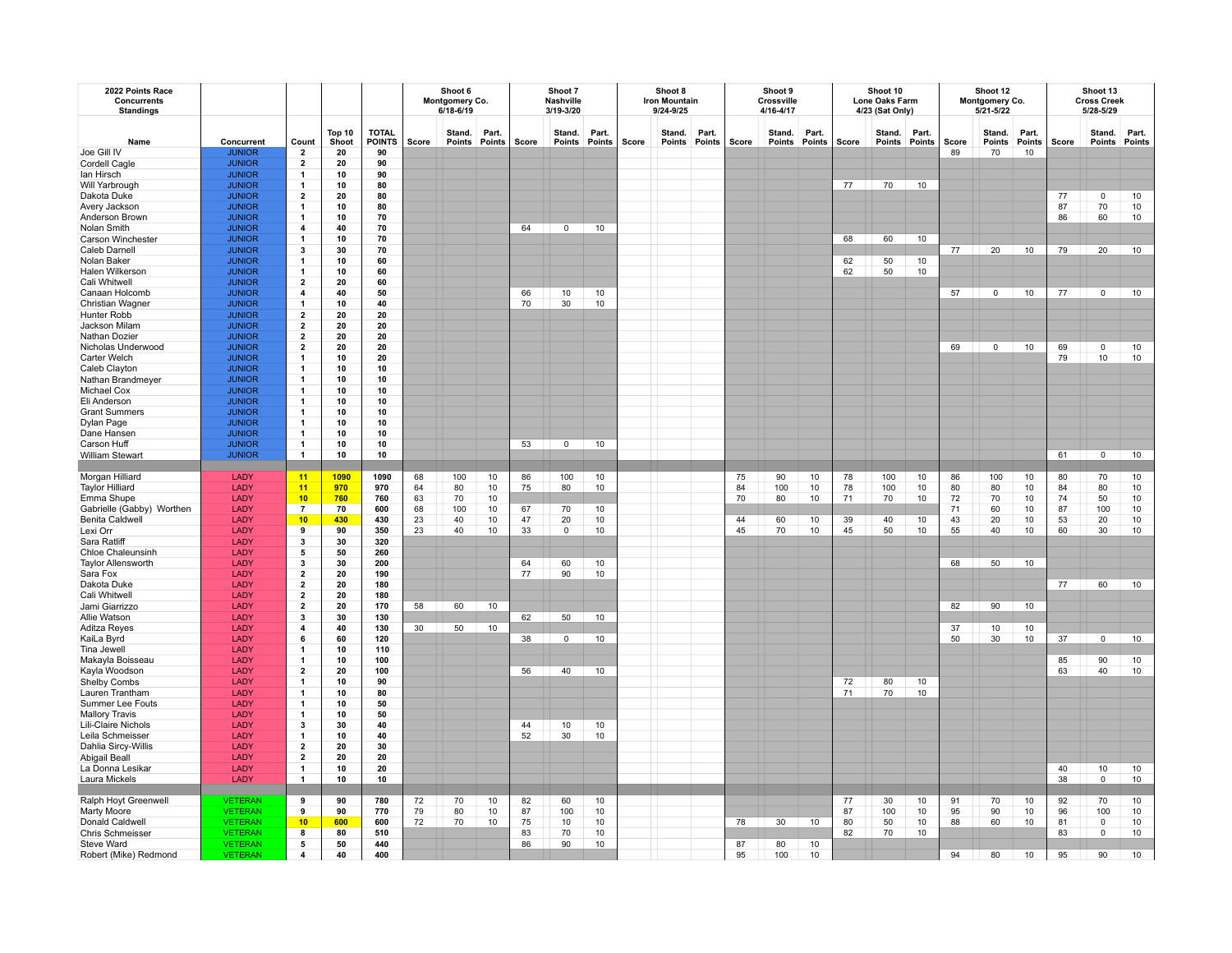| 2022 Points Race<br><b>Concurrents</b><br><b>Standings</b> |                                |                                           |                 |                        | Shoot 6<br>Montgomery Co.<br>$6/18 - 6/19$ |                         |       | Shoot 7<br><b>Nashville</b><br>3/19-3/20 |                  |                 | Shoot 8<br><b>Iron Mountain</b><br>9/24-9/25 |                  |                 | Shoot 9<br>Crossville<br>4/16-4/17 |                  |                 | Shoot 10<br><b>Lone Oaks Farm</b><br>4/23 (Sat Only) |                  |                 |       | Shoot 12<br>Montgomery Co.<br>5/21-5/22 |                 | Shoot 13<br><b>Cross Creek</b><br>5/28-5/29 |                  |                 |
|------------------------------------------------------------|--------------------------------|-------------------------------------------|-----------------|------------------------|--------------------------------------------|-------------------------|-------|------------------------------------------|------------------|-----------------|----------------------------------------------|------------------|-----------------|------------------------------------|------------------|-----------------|------------------------------------------------------|------------------|-----------------|-------|-----------------------------------------|-----------------|---------------------------------------------|------------------|-----------------|
| Name                                                       | Concurrent                     | Count                                     | Top 10<br>Shoot | <b>TOTAL</b><br>POINTS | Score                                      | Stand.<br>Points Points | Part. | Score                                    | Stand.<br>Points | Part.<br>Points | Score                                        | Stand.<br>Points | Part.<br>Points | Score                              | Stand.<br>Points | Part.<br>Points | Score                                                | Stand.<br>Points | Part.<br>Points | Score | Stand.<br>Points                        | Part.<br>Points | Score                                       | Stand.<br>Points | Part.<br>Points |
| Joe Gill IV                                                | <b>JUNIOR</b>                  | $\overline{2}$                            | 20              | 90                     |                                            |                         |       |                                          |                  |                 |                                              |                  |                 |                                    |                  |                 |                                                      |                  |                 | 89    | 70                                      | 10              |                                             |                  |                 |
| Cordell Cagle                                              | <b>JUNIOR</b>                  | $\overline{\mathbf{2}}$                   | 20              | 90                     |                                            |                         |       |                                          |                  |                 |                                              |                  |                 |                                    |                  |                 |                                                      |                  |                 |       |                                         |                 |                                             |                  |                 |
| lan Hirsch                                                 | <b>JUNIOR</b>                  | 1<br>$\mathbf{1}$                         | 10              | 90                     |                                            |                         |       |                                          |                  |                 |                                              |                  |                 |                                    |                  |                 |                                                      |                  |                 |       |                                         |                 |                                             |                  |                 |
| Will Yarbrough<br>Dakota Duke                              | <b>JUNIOR</b><br><b>JUNIOR</b> | $\overline{\mathbf{2}}$                   | 10<br>20        | 80<br>80               |                                            |                         |       |                                          |                  |                 |                                              |                  |                 |                                    |                  |                 | 77                                                   | 70               | 10              |       |                                         |                 | 77                                          | 0                | 10              |
| Avery Jackson                                              | <b>JUNIOR</b>                  | 1                                         | 10              | 80                     |                                            |                         |       |                                          |                  |                 |                                              |                  |                 |                                    |                  |                 |                                                      |                  |                 |       |                                         |                 | 87                                          | 70               | 10              |
| Anderson Brown                                             | <b>JUNIOR</b>                  | -1                                        | 10              | 70                     |                                            |                         |       |                                          |                  |                 |                                              |                  |                 |                                    |                  |                 |                                                      |                  |                 |       |                                         |                 | 86                                          | 60               | 10              |
| Nolan Smith                                                | <b>JUNIOR</b>                  | $\overline{\mathbf{4}}$                   | 40              | 70                     |                                            |                         |       | 64                                       | $\mathbf 0$      | 10              |                                              |                  |                 |                                    |                  |                 |                                                      |                  |                 |       |                                         |                 |                                             |                  |                 |
| Carson Winchester                                          | <b>JUNIOR</b>                  | $\mathbf{1}$                              | 10              | 70                     |                                            |                         |       |                                          |                  |                 |                                              |                  |                 |                                    |                  |                 | 68                                                   | 60               | 10              |       |                                         |                 |                                             |                  |                 |
| Caleb Darnell                                              | <b>JUNIOR</b>                  | 3                                         | 30              | 70                     |                                            |                         |       |                                          |                  |                 |                                              |                  |                 |                                    |                  |                 |                                                      |                  |                 | 77    | 20                                      | 10              | 79                                          | 20               | 10              |
| Nolan Baker                                                | <b>JUNIOR</b>                  | $\mathbf{1}$                              | 10              | 60                     |                                            |                         |       |                                          |                  |                 |                                              |                  |                 |                                    |                  |                 | 62                                                   | 50               | 10              |       |                                         |                 |                                             |                  |                 |
| Halen Wilkerson                                            | <b>JUNIOR</b>                  | $\mathbf{1}$                              | 10              | 60                     |                                            |                         |       |                                          |                  |                 |                                              |                  |                 |                                    |                  |                 | 62                                                   | 50               | 10              |       |                                         |                 |                                             |                  |                 |
| Cali Whitwell                                              | <b>JUNIOR</b>                  | $\overline{2}$                            | 20              | 60                     |                                            |                         |       |                                          |                  |                 |                                              |                  |                 |                                    |                  |                 |                                                      |                  |                 |       |                                         |                 |                                             |                  |                 |
| Canaan Holcomb                                             | <b>JUNIOR</b>                  | 4                                         | 40              | 50                     |                                            |                         |       | 66                                       | 10               | 10              |                                              |                  |                 |                                    |                  |                 |                                                      |                  |                 | 57    | $\mathbf 0$                             | 10              | 77                                          | $\mathbf 0$      | 10              |
| Christian Wagner                                           | <b>JUNIOR</b>                  | -1                                        | 10              | 40                     |                                            |                         |       | 70                                       | 30               | 10              |                                              |                  |                 |                                    |                  |                 |                                                      |                  |                 |       |                                         |                 |                                             |                  |                 |
| Hunter Robb                                                | <b>JUNIOR</b>                  | $\overline{\mathbf{2}}$                   | 20              | 20                     |                                            |                         |       |                                          |                  |                 |                                              |                  |                 |                                    |                  |                 |                                                      |                  |                 |       |                                         |                 |                                             |                  |                 |
| Jackson Milam<br>Nathan Dozier                             | <b>JUNIOR</b><br><b>JUNIOR</b> | $\overline{\mathbf{2}}$<br>$\overline{2}$ | 20<br>20        | 20<br>20               |                                            |                         |       |                                          |                  |                 |                                              |                  |                 |                                    |                  |                 |                                                      |                  |                 |       |                                         |                 |                                             |                  |                 |
| Nicholas Underwood                                         | <b>JUNIOR</b>                  | $\overline{\mathbf{2}}$                   | 20              | 20                     |                                            |                         |       |                                          |                  |                 |                                              |                  |                 |                                    |                  |                 |                                                      |                  |                 | 69    | $\mathbf 0$                             | 10              | 69                                          | $\mathsf 0$      | 10              |
| Carter Welch                                               | <b>JUNIOR</b>                  | -1                                        | 10              | 20                     |                                            |                         |       |                                          |                  |                 |                                              |                  |                 |                                    |                  |                 |                                                      |                  |                 |       |                                         |                 | 79                                          | 10               | 10              |
| Caleb Clayton                                              | <b>JUNIOR</b>                  | -1                                        | 10              | 10                     |                                            |                         |       |                                          |                  |                 |                                              |                  |                 |                                    |                  |                 |                                                      |                  |                 |       |                                         |                 |                                             |                  |                 |
| Nathan Brandmeyer                                          | <b>JUNIOR</b>                  | -1                                        | 10              | 10                     |                                            |                         |       |                                          |                  |                 |                                              |                  |                 |                                    |                  |                 |                                                      |                  |                 |       |                                         |                 |                                             |                  |                 |
| Michael Cox                                                | <b>JUNIOR</b>                  | -1                                        | 10              | 10                     |                                            |                         |       |                                          |                  |                 |                                              |                  |                 |                                    |                  |                 |                                                      |                  |                 |       |                                         |                 |                                             |                  |                 |
| Eli Anderson                                               | <b>JUNIOR</b>                  |                                           | 10              | 10                     |                                            |                         |       |                                          |                  |                 |                                              |                  |                 |                                    |                  |                 |                                                      |                  |                 |       |                                         |                 |                                             |                  |                 |
| <b>Grant Summers</b>                                       | <b>JUNIOR</b>                  | -1                                        | 10              | 10                     |                                            |                         |       |                                          |                  |                 |                                              |                  |                 |                                    |                  |                 |                                                      |                  |                 |       |                                         |                 |                                             |                  |                 |
| Dylan Page                                                 | <b>JUNIOR</b>                  | $\mathbf{1}$                              | 10              | 10                     |                                            |                         |       |                                          |                  |                 |                                              |                  |                 |                                    |                  |                 |                                                      |                  |                 |       |                                         |                 |                                             |                  |                 |
| Dane Hansen                                                | <b>JUNIOR</b>                  | $\mathbf{1}$                              | 10              | 10                     |                                            |                         |       |                                          |                  |                 |                                              |                  |                 |                                    |                  |                 |                                                      |                  |                 |       |                                         |                 |                                             |                  |                 |
| Carson Huff                                                | <b>JUNIOR</b>                  | $\mathbf{1}$                              | 10              | 10                     |                                            |                         |       | 53                                       | $\circ$          | 10              |                                              |                  |                 |                                    |                  |                 |                                                      |                  |                 |       |                                         |                 |                                             |                  |                 |
| <b>William Stewart</b>                                     | <b>JUNIOR</b>                  | $\mathbf{1}$                              | 10              | 10                     |                                            |                         |       |                                          |                  |                 |                                              |                  |                 |                                    |                  |                 |                                                      |                  |                 |       |                                         |                 | 61                                          | $\mathbf 0$      | 10              |
| Morgan Hilliard                                            | LADY                           | 11                                        | 1090            | 1090                   | 68                                         | 100                     | 10    | 86                                       | 100              | 10              |                                              |                  |                 | 75                                 | 90               | 10              | 78                                                   | 100              | 10              | 86    | 100                                     | 10              | 80                                          | 70               | 10              |
| <b>Taylor Hilliard</b>                                     | LADY                           | 11                                        | 970             | 970                    | 64                                         | 80                      | 10    | 75                                       | 80               | 10              |                                              |                  |                 | 84                                 | 100              | 10              | 78                                                   | 100              | 10              | 80    | 80                                      | 10              | 84                                          | 80               | 10              |
| Emma Shupe                                                 | LADY                           | 10                                        | 760             | 760                    | 63                                         | 70                      | 10    |                                          |                  |                 |                                              |                  |                 | 70                                 | 80               | 10              | 71                                                   | 70               | 10              | 72    | 70                                      | 10              | 74                                          | 50               | $10$            |
| Gabrielle (Gabby) Worthen                                  | LADY                           | $\overline{7}$                            | 70              | 600                    | 68                                         | 100                     | 10    | 67                                       | 70               | 10              |                                              |                  |                 |                                    |                  |                 |                                                      |                  |                 | 71    | 60                                      | 10              | 87                                          | 100              | $10$            |
| <b>Benita Caldwell</b>                                     | LADY                           | 10                                        | 430             | 430                    | 23                                         | 40                      | $10$  | 47                                       | 20               | 10              |                                              |                  |                 | 44                                 | 60               | 10              | 39                                                   | 40               | 10              | 43    | 20                                      | 10              | 53                                          | 20               | $10$            |
| Lexi Orr                                                   | LADY                           | 9                                         | 90              | 350                    | 23                                         | 40                      | 10    | 33                                       | $\circ$          | 10              |                                              |                  |                 | 45                                 | 70               | 10              | 45                                                   | 50               | 10              | 55    | 40                                      | 10              | 60                                          | 30               | 10              |
| Sara Ratliff                                               | LADY                           | 3                                         | 30              | 320                    |                                            |                         |       |                                          |                  |                 |                                              |                  |                 |                                    |                  |                 |                                                      |                  |                 |       |                                         |                 |                                             |                  |                 |
| <b>Chloe Chaleunsinh</b>                                   | LADY                           | 5                                         | 50              | 260                    |                                            |                         |       |                                          |                  |                 |                                              |                  |                 |                                    |                  |                 |                                                      |                  |                 |       |                                         |                 |                                             |                  |                 |
| <b>Taylor Allensworth</b>                                  | LADY                           | 3                                         | 30              | 200                    |                                            |                         |       | 64                                       | 60               | 10              |                                              |                  |                 |                                    |                  |                 |                                                      |                  |                 | 68    | 50                                      | 10              |                                             |                  |                 |
| Sara Fox                                                   | LADY                           | $\overline{\mathbf{2}}$                   | 20              | 190                    |                                            |                         |       | 77                                       | 90               | 10              |                                              |                  |                 |                                    |                  |                 |                                                      |                  |                 |       |                                         |                 |                                             |                  |                 |
| Dakota Duke<br>Cali Whitwell                               | LADY<br>LADY                   | $\overline{\mathbf{2}}$<br>$\overline{2}$ | 20              | 180                    |                                            |                         |       |                                          |                  |                 |                                              |                  |                 |                                    |                  |                 |                                                      |                  |                 |       |                                         |                 | 77                                          | 60               | 10              |
| Jami Giarrizzo                                             | LADY                           | $\overline{\mathbf{2}}$                   | 20<br>20        | 180<br>170             | 58                                         | 60                      | 10    |                                          |                  |                 |                                              |                  |                 |                                    |                  |                 |                                                      |                  |                 | 82    | 90                                      | 10 <sub>1</sub> |                                             |                  |                 |
| Allie Watson                                               | LADY                           | 3                                         | 30              | 130                    |                                            |                         |       | 62                                       | 50               | 10              |                                              |                  |                 |                                    |                  |                 |                                                      |                  |                 |       |                                         |                 |                                             |                  |                 |
| <b>Aditza Reves</b>                                        | LADY                           | $\overline{\mathbf{4}}$                   | 40              | 130                    | 30                                         | 50                      | 10    |                                          |                  |                 |                                              |                  |                 |                                    |                  |                 |                                                      |                  |                 | 37    | 10                                      | 10              |                                             |                  |                 |
| KaiLa Byrd                                                 | LADY                           | 6                                         | 60              | 120                    |                                            |                         |       | 38                                       | $\mathbf{0}$     | 10              |                                              |                  |                 |                                    |                  |                 |                                                      |                  |                 | 50    | 30                                      | 10              | 37                                          | $\circ$          | 10              |
| Tina Jewell                                                | LADY                           | -1                                        | 10              | 110                    |                                            |                         |       |                                          |                  |                 |                                              |                  |                 |                                    |                  |                 |                                                      |                  |                 |       |                                         |                 |                                             |                  |                 |
| Makayla Boisseau                                           | LADY                           | -1                                        | 10              | 100                    |                                            |                         |       |                                          |                  |                 |                                              |                  |                 |                                    |                  |                 |                                                      |                  |                 |       |                                         |                 | 85                                          | 90               | 10              |
| Kayla Woodson                                              | LADY                           | $\overline{2}$                            | 20              | 100                    |                                            |                         |       | 56                                       | 40               | 10              |                                              |                  |                 |                                    |                  |                 |                                                      |                  |                 |       |                                         |                 | 63                                          | 40               | 10              |
| <b>Shelby Combs</b>                                        | LADY                           | -1                                        | 10              | 90                     |                                            |                         |       |                                          |                  |                 |                                              |                  |                 |                                    |                  |                 | 72                                                   | 80               | 10              |       |                                         |                 |                                             |                  |                 |
| Lauren Trantham                                            | LADY                           | 1                                         | 10              | 80                     |                                            |                         |       |                                          |                  |                 |                                              |                  |                 |                                    |                  |                 | 71                                                   | 70               | 10              |       |                                         |                 |                                             |                  |                 |
| Summer Lee Fouts                                           | LADY                           | -1                                        | 10              | 50                     |                                            |                         |       |                                          |                  |                 |                                              |                  |                 |                                    |                  |                 |                                                      |                  |                 |       |                                         |                 |                                             |                  |                 |
| <b>Mallory Travis</b>                                      | LADY<br>LADY                   | -1                                        | 10              | 50                     |                                            |                         |       |                                          |                  |                 |                                              |                  |                 |                                    |                  |                 |                                                      |                  |                 |       |                                         |                 |                                             |                  |                 |
| Lili-Claire Nichols                                        | LADY                           | 3<br>$\mathbf{1}$                         | 30<br>10        | 40<br>40               |                                            |                         |       | 44<br>52                                 | 10<br>30         | 10<br>10        |                                              |                  |                 |                                    |                  |                 |                                                      |                  |                 |       |                                         |                 |                                             |                  |                 |
| Leila Schmeisser<br>Dahlia Sircy-Willis                    | LADY                           | $\overline{2}$                            | 20              | 30                     |                                            |                         |       |                                          |                  |                 |                                              |                  |                 |                                    |                  |                 |                                                      |                  |                 |       |                                         |                 |                                             |                  |                 |
| Abigail Beall                                              | LADY                           | $\overline{\mathbf{2}}$                   | 20              | 20                     |                                            |                         |       |                                          |                  |                 |                                              |                  |                 |                                    |                  |                 |                                                      |                  |                 |       |                                         |                 |                                             |                  |                 |
| La Donna Lesikar                                           | LADY                           | 1                                         | 10              | 20                     |                                            |                         |       |                                          |                  |                 |                                              |                  |                 |                                    |                  |                 |                                                      |                  |                 |       |                                         |                 | 40                                          | 10               | 10              |
| Laura Mickels                                              | LADY                           | -1                                        | 10              | 10                     |                                            |                         |       |                                          |                  |                 |                                              |                  |                 |                                    |                  |                 |                                                      |                  |                 |       |                                         |                 | 38                                          | $\mathbf 0$      | $10$            |
|                                                            |                                |                                           |                 |                        |                                            |                         |       |                                          |                  |                 |                                              |                  |                 |                                    |                  |                 |                                                      |                  |                 |       |                                         |                 |                                             |                  |                 |
| Ralph Hoyt Greenwell                                       | <b>VETERAN</b>                 | 9                                         | 90              | 780                    | 72                                         | 70                      | 10    | 82                                       | 60               | 10              |                                              |                  |                 |                                    |                  |                 | 77                                                   | 30               | 10              | 91    | 70                                      | 10              | 92                                          | 70               | 10              |
| Marty Moore                                                | <b>VETERAN</b>                 | 9                                         | 90              | 770                    | 79                                         | 80                      | 10    | 87                                       | 100              | 10              |                                              |                  |                 |                                    |                  |                 | 87                                                   | 100              | 10              | 95    | 90                                      | 10              | 96                                          | 100              | 10              |
| Donald Caldwell                                            | <b>VETERAN</b>                 | 10                                        | 600             | 600                    | 72                                         | 70                      | 10    | 75                                       | 10               | 10              |                                              |                  |                 | 78                                 | 30               | 10              | 80                                                   | 50               | 10              | 88    | 60                                      | 10              | 81                                          | $\mathsf 0$      | 10              |
| <b>Chris Schmeisser</b>                                    | <b>VETERAN</b>                 | 8                                         | 80              | 510                    |                                            |                         |       | 83                                       | 70               | 10              |                                              |                  |                 |                                    |                  |                 | 82                                                   | 70               | 10              |       |                                         |                 | 83                                          | $\mathbf 0$      | 10              |
| Steve Ward                                                 | <b>VETERAN</b>                 | 5                                         | 50              | 440                    |                                            |                         |       | 86                                       | 90               | 10              |                                              |                  |                 | 87                                 | 80               | 10              |                                                      |                  |                 |       |                                         |                 |                                             |                  |                 |
| Robert (Mike) Redmond                                      | <b>VETERAN</b>                 | $\overline{\mathbf{4}}$                   | 40              | 400                    |                                            |                         |       |                                          |                  |                 |                                              |                  |                 | 95                                 | 100              | 10              |                                                      |                  |                 | 94    | 80                                      | 10              | 95                                          | 90               | 10              |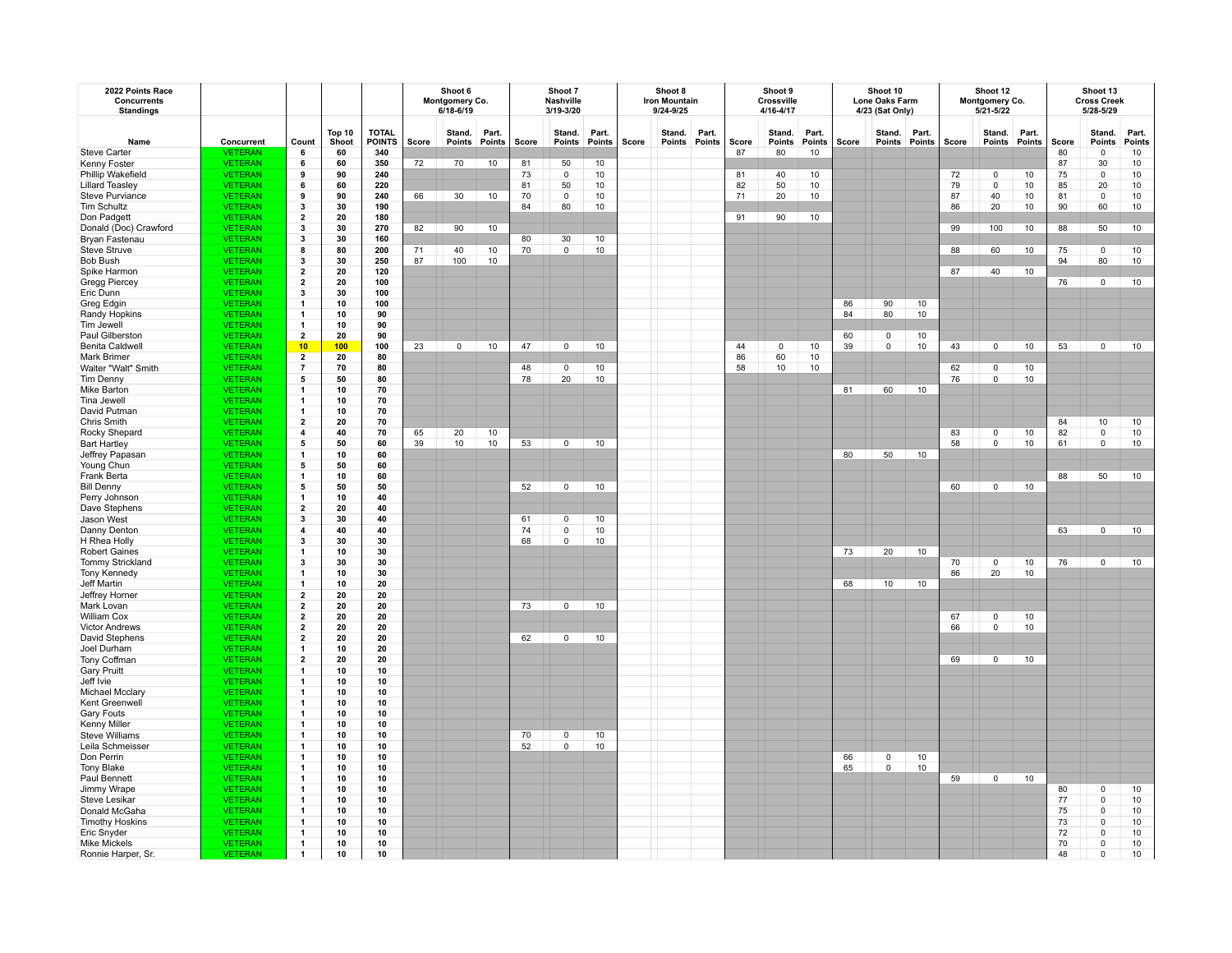| 2022 Points Race<br>Concurrents<br><b>Standings</b> |                                  |                                           |                 |                               | Shoot 6<br>Montgomery Co.<br>$6/18 - 6/19$ |                         |       | Shoot 7<br>Nashville<br>3/19-3/20 |                  |                 | Shoot 8<br><b>Iron Mountain</b><br>9/24-9/25 |                  |                 | Shoot 9<br>Crossville<br>4/16-4/17 |                  |                 |       | Shoot 10<br>Lone Oaks Farm<br>4/23 (Sat Only) |       |       | Shoot 12<br>Montgomery Co.<br>5/21-5/22 |                 | Shoot 13<br><b>Cross Creek</b><br>5/28-5/29 |                  |                 |
|-----------------------------------------------------|----------------------------------|-------------------------------------------|-----------------|-------------------------------|--------------------------------------------|-------------------------|-------|-----------------------------------|------------------|-----------------|----------------------------------------------|------------------|-----------------|------------------------------------|------------------|-----------------|-------|-----------------------------------------------|-------|-------|-----------------------------------------|-----------------|---------------------------------------------|------------------|-----------------|
| Name                                                | Concurrent                       | Count                                     | Top 10<br>Shoot | <b>TOTAL</b><br><b>POINTS</b> | Score                                      | Stand.<br>Points Points | Part. | Score                             | Stand.<br>Points | Part.<br>Points | Score                                        | Stand.<br>Points | Part.<br>Points | Score                              | Stand.<br>Points | Part.<br>Points | Score | Stand.<br>Points Points                       | Part. | Score | Stand.<br><b>Points</b>                 | Part.<br>Points | Score                                       | Stand.<br>Points | Part.<br>Points |
| <b>Steve Carter</b>                                 | VETERAN                          |                                           | 60              | 340                           |                                            |                         |       |                                   |                  |                 |                                              |                  |                 | 87                                 | 80               | 10              |       |                                               |       |       |                                         |                 | 80                                          | $\mathsf 0$      | $10\,$          |
| Kenny Foster                                        | <b>VETERAN</b>                   | 6                                         | 60              | 350                           | 72                                         | 70                      | 10    | 81                                | 50               | 10              |                                              |                  |                 |                                    |                  |                 |       |                                               |       |       |                                         |                 | 87                                          | 30               | $10\,$          |
| Phillip Wakefield                                   | <b>VETERAN</b>                   | 9                                         | 90              | 240                           |                                            |                         |       | 73                                | 0                | 10              |                                              |                  |                 | 81                                 | 40               | 10              |       |                                               |       | 72    | $\mathsf 0$                             | 10              | 75                                          | 0                | 10              |
| <b>Lillard Teasley</b>                              | <b>VETERAN</b>                   | 6                                         | 60              | 220                           |                                            |                         |       | 81                                | 50               | 10              |                                              |                  |                 | 82                                 | 50               | 10              |       |                                               |       | 79    | $\overline{0}$                          | 10              | 85                                          | 20               | 10              |
| <b>Steve Purviance</b>                              | <b>VETERAN</b>                   | 9                                         | 90              | 240                           | 66                                         | 30                      | 10    | 70                                | $\mathsf 0$      | 10              |                                              |                  |                 | 71                                 | 20               | 10              |       |                                               |       | 87    | 40                                      | 10              | 81                                          | $\mathsf 0$      | 10              |
| <b>Tim Schultz</b>                                  | <b>VETERAN</b>                   | 3                                         | 30              | 190                           |                                            |                         |       | 84                                | 80               | 10              |                                              |                  |                 |                                    |                  |                 |       |                                               |       | 86    | 20                                      | 10              | 90                                          | 60               | 10              |
| Don Padgett                                         | <b>VETERAN</b>                   | $\overline{2}$                            | 20              | 180                           |                                            |                         |       |                                   |                  |                 |                                              |                  |                 | 91                                 | 90               | 10              |       |                                               |       |       |                                         |                 |                                             |                  |                 |
| Donald (Doc) Crawford                               | <b>VETERAN</b>                   | 3                                         | 30              | 270                           | 82                                         | 90                      | 10    |                                   |                  |                 |                                              |                  |                 |                                    |                  |                 |       |                                               |       | 99    | 100                                     | 10              | 88                                          | 50               | $10$            |
| Bryan Fastenau                                      | <b>VETERAN</b>                   | 3                                         | 30              | 160                           |                                            |                         |       | 80                                | 30               | $10$            |                                              |                  |                 |                                    |                  |                 |       |                                               |       |       |                                         |                 |                                             |                  |                 |
| Steve Struve                                        | <b>VETERAN</b>                   | 8<br>3                                    | 80              | 200                           | 71<br>87                                   | 40                      | 10    | 70                                | $\mathsf 0$      | 10              |                                              |                  |                 |                                    |                  |                 |       |                                               |       | 88    | 60                                      | 10              | 75<br>94                                    | $\mathsf 0$      | 10              |
| <b>Bob Bush</b>                                     | <b>VETERAN</b><br><b>VETERAN</b> |                                           | 30<br>20        | 250<br>120                    |                                            | 100                     | 10    |                                   |                  |                 |                                              |                  |                 |                                    |                  |                 |       |                                               |       | 87    | 40                                      | 10              |                                             | 80               | 10              |
| Spike Harmon                                        | <b>VETERAN</b>                   | $\overline{2}$<br>$\overline{\mathbf{2}}$ | 20              | 100                           |                                            |                         |       |                                   |                  |                 |                                              |                  |                 |                                    |                  |                 |       |                                               |       |       |                                         |                 | 76                                          | $\mathbf 0$      | 10              |
| <b>Gregg Piercey</b>                                |                                  | 3                                         |                 | 100                           |                                            |                         |       |                                   |                  |                 |                                              |                  |                 |                                    |                  |                 |       |                                               |       |       |                                         |                 |                                             |                  |                 |
| Eric Dunn                                           | <b>VETERAN</b><br><b>VETERAN</b> | -1                                        | 30<br>10        | 100                           |                                            |                         |       |                                   |                  |                 |                                              |                  |                 |                                    |                  |                 | 86    | 90                                            | 10    |       |                                         |                 |                                             |                  |                 |
| Greg Edgin<br>Randy Hopkins                         | <b>VETERAN</b>                   | -1                                        | 10              | 90                            |                                            |                         |       |                                   |                  |                 |                                              |                  |                 |                                    |                  |                 | 84    | 80                                            | 10    |       |                                         |                 |                                             |                  |                 |
| Tim Jewell                                          | <b>VETERAN</b>                   | $\mathbf{1}$                              | 10              | 90                            |                                            |                         |       |                                   |                  |                 |                                              |                  |                 |                                    |                  |                 |       |                                               |       |       |                                         |                 |                                             |                  |                 |
| Paul Gilberston                                     | <b>VETERAN</b>                   | $\overline{\mathbf{2}}$                   | 20              | 90                            |                                            |                         |       |                                   |                  |                 |                                              |                  |                 |                                    |                  |                 | 60    | 0                                             | 10    |       |                                         |                 |                                             |                  |                 |
| <b>Benita Caldwell</b>                              | <b>VETERAN</b>                   | 10                                        | 100             | 100                           | 23                                         | $\mathbf 0$             | 10    | 47                                | $\mathbf 0$      | 10              |                                              |                  |                 | 44                                 | $\mathsf 0$      | 10              | 39    | $\mathsf{o}\,$                                | 10    | 43    | $\mathbf 0$                             | 10              | 53                                          | $\mathbf 0$      | 10              |
| <b>Mark Brimer</b>                                  | <b>VETERAN</b>                   | $\overline{2}$                            | 20              | 80                            |                                            |                         |       |                                   |                  |                 |                                              |                  |                 | 86                                 | 60               | 10              |       |                                               |       |       |                                         |                 |                                             |                  |                 |
| Walter "Walt" Smith                                 | <b>VETERAN</b>                   | $\overline{7}$                            | 70              | 80                            |                                            |                         |       | 48                                | $\mathbf 0$      | 10              |                                              |                  |                 | 58                                 | 10               | 10              |       |                                               |       | 62    | $\mathsf 0$                             | 10              |                                             |                  |                 |
| Tim Denny                                           | <b>VETERAN</b>                   | 5                                         | 50              | 80                            |                                            |                         |       | 78                                | 20               | 10              |                                              |                  |                 |                                    |                  |                 |       |                                               |       | 76    | $\overline{0}$                          | 10              |                                             |                  |                 |
| Mike Barton                                         | <b>VETERAN</b>                   | -1                                        | 10              | 70                            |                                            |                         |       |                                   |                  |                 |                                              |                  |                 |                                    |                  |                 | 81    | 60                                            | 10    |       |                                         |                 |                                             |                  |                 |
| Tina Jewell                                         | <b>VETERAN</b>                   |                                           | 10              | 70                            |                                            |                         |       |                                   |                  |                 |                                              |                  |                 |                                    |                  |                 |       |                                               |       |       |                                         |                 |                                             |                  |                 |
| David Putman                                        | <b>VETERAN</b>                   | -1                                        | 10              | 70                            |                                            |                         |       |                                   |                  |                 |                                              |                  |                 |                                    |                  |                 |       |                                               |       |       |                                         |                 |                                             |                  |                 |
| <b>Chris Smith</b>                                  | <b>VETERAN</b>                   | $\mathbf{2}$                              | 20              | 70                            |                                            |                         |       |                                   |                  |                 |                                              |                  |                 |                                    |                  |                 |       |                                               |       |       |                                         |                 | 84                                          | 10               | 10              |
| Rocky Shepard                                       | <b>VETERAN</b>                   | 4                                         | 40              | 70                            | 65                                         | 20                      | 10    |                                   |                  |                 |                                              |                  |                 |                                    |                  |                 |       |                                               |       | 83    | $\mathsf 0$                             | 10              | 82                                          | $\mathsf{O}$     | $10\,$          |
| <b>Bart Hartley</b>                                 | <b>VETERAN</b>                   | 5                                         | 50              | 60                            | 39                                         | 10                      | 10    | 53                                | $\circ$          | 10              |                                              |                  |                 |                                    |                  |                 |       |                                               |       | 58    | $\mathbf 0$                             | 10              | 61                                          | $\mathsf 0$      | 10              |
| Jeffrey Papasan                                     | <b>VETERAN</b>                   | -1                                        | 10              | 60                            |                                            |                         |       |                                   |                  |                 |                                              |                  |                 |                                    |                  |                 | 80    | 50                                            | 10    |       |                                         |                 |                                             |                  |                 |
| Young Chun                                          | <b>VETERAN</b>                   | 5                                         | 50              | 60                            |                                            |                         |       |                                   |                  |                 |                                              |                  |                 |                                    |                  |                 |       |                                               |       |       |                                         |                 |                                             |                  |                 |
| Frank Berta                                         | <b>VETERAN</b>                   | -1                                        | 10              | 60                            |                                            |                         |       |                                   |                  |                 |                                              |                  |                 |                                    |                  |                 |       |                                               |       |       |                                         |                 | 88                                          | 50               | 10              |
| <b>Bill Denny</b>                                   | <b>VETERAN</b>                   | 5                                         | 50              | 50                            |                                            |                         |       | 52                                | $\mathbf 0$      | 10              |                                              |                  |                 |                                    |                  |                 |       |                                               |       | 60    | $\mathbf 0$                             | 10              |                                             |                  |                 |
| Perry Johnson                                       | <b>VETERAN</b>                   | -1                                        | 10              | 40                            |                                            |                         |       |                                   |                  |                 |                                              |                  |                 |                                    |                  |                 |       |                                               |       |       |                                         |                 |                                             |                  |                 |
| Dave Stephens                                       | <b>VETERAN</b>                   | $\overline{\mathbf{2}}$                   | 20              | 40                            |                                            |                         |       |                                   |                  |                 |                                              |                  |                 |                                    |                  |                 |       |                                               |       |       |                                         |                 |                                             |                  |                 |
| Jason West                                          | <b>VETERAN</b>                   | $\mathbf{3}$                              | 30              | 40                            |                                            |                         |       | 61                                | 0                | 10              |                                              |                  |                 |                                    |                  |                 |       |                                               |       |       |                                         |                 |                                             |                  |                 |
| Danny Denton                                        | <b>VETERAN</b>                   | 4                                         | 40              | 40                            |                                            |                         |       | 74                                | $\mathsf 0$      | 10              |                                              |                  |                 |                                    |                  |                 |       |                                               |       |       |                                         |                 | 63                                          | $\mathbf 0$      | 10              |
| H Rhea Holly                                        | <b>VETERAN</b>                   | 3                                         | 30              | 30                            |                                            |                         |       | 68                                | 0                | 10              |                                              |                  |                 |                                    |                  |                 |       |                                               |       |       |                                         |                 |                                             |                  |                 |
| <b>Robert Gaines</b>                                | <b>VETERAN</b>                   | -1                                        | 10              | 30                            |                                            |                         |       |                                   |                  |                 |                                              |                  |                 |                                    |                  |                 | 73    | 20                                            | 10    |       |                                         |                 |                                             |                  |                 |
| Tommy Strickland                                    | <b>VETERAN</b>                   | 3                                         | 30              | 30                            |                                            |                         |       |                                   |                  |                 |                                              |                  |                 |                                    |                  |                 |       |                                               |       | 70    | $\mathbf 0$                             | 10              | 76                                          | $\mathbf 0$      | 10              |
| Tony Kennedy                                        | <b>VETERAN</b>                   | -1                                        | 10              | 30                            |                                            |                         |       |                                   |                  |                 |                                              |                  |                 |                                    |                  |                 |       |                                               |       | 86    | 20                                      | 10              |                                             |                  |                 |
| Jeff Martin                                         | <b>VETERAN</b>                   | -1                                        | 10              | 20                            |                                            |                         |       |                                   |                  |                 |                                              |                  |                 |                                    |                  |                 | 68    | 10                                            | 10    |       |                                         |                 |                                             |                  |                 |
| Jeffrey Horner                                      | <b>VETERAN</b>                   | $\overline{2}$                            | 20              | 20                            |                                            |                         |       |                                   |                  |                 |                                              |                  |                 |                                    |                  |                 |       |                                               |       |       |                                         |                 |                                             |                  |                 |
| Mark Lovan                                          | <b>VETERAN</b>                   | $\overline{2}$                            | 20              | 20                            |                                            |                         |       | 73                                | $\mathbf 0$      | 10              |                                              |                  |                 |                                    |                  |                 |       |                                               |       |       |                                         |                 |                                             |                  |                 |
| William Cox                                         | <b>VETERAN</b>                   | $\overline{\mathbf{2}}$                   | 20              | 20                            |                                            |                         |       |                                   |                  |                 |                                              |                  |                 |                                    |                  |                 |       |                                               |       | 67    | $\mathsf 0$                             | 10              |                                             |                  |                 |
| <b>Victor Andrews</b>                               | <b>VETERAN</b>                   | $\overline{2}$                            | 20              | 20                            |                                            |                         |       |                                   |                  |                 |                                              |                  |                 |                                    |                  |                 |       |                                               |       | 66    | $\Omega$                                | 10              |                                             |                  |                 |
| David Stephens                                      | <b>VETERAN</b>                   | $\overline{\mathbf{2}}$                   | 20              | 20                            |                                            |                         |       | 62                                | $\mathbf{0}$     | 10              |                                              |                  |                 |                                    |                  |                 |       |                                               |       |       |                                         |                 |                                             |                  |                 |
| Joel Durham                                         | <b>VETERAN</b>                   | -1                                        | 10              | 20                            |                                            |                         |       |                                   |                  |                 |                                              |                  |                 |                                    |                  |                 |       |                                               |       |       |                                         |                 |                                             |                  |                 |
| Tony Coffman                                        | <b>VETERAN</b>                   | $\overline{\mathbf{2}}$                   | 20              | 20                            |                                            |                         |       |                                   |                  |                 |                                              |                  |                 |                                    |                  |                 |       |                                               |       | 69    | $\mathbf 0$                             | 10              |                                             |                  |                 |
| <b>Gary Pruitt</b>                                  | <b>VETERAN</b>                   | -1                                        | 10              | 10                            |                                            |                         |       |                                   |                  |                 |                                              |                  |                 |                                    |                  |                 |       |                                               |       |       |                                         |                 |                                             |                  |                 |
| Jeff Ivie                                           | <b>VETERAN</b>                   | -1                                        | 10              | 10                            |                                            |                         |       |                                   |                  |                 |                                              |                  |                 |                                    |                  |                 |       |                                               |       |       |                                         |                 |                                             |                  |                 |
| Michael Mcclary                                     | <b>VETERAN</b>                   | -1                                        | 10              | 10                            |                                            |                         |       |                                   |                  |                 |                                              |                  |                 |                                    |                  |                 |       |                                               |       |       |                                         |                 |                                             |                  |                 |
| Kent Greenwell                                      | <b>VETERAN</b>                   | -1                                        | 10              | 10                            |                                            |                         |       |                                   |                  |                 |                                              |                  |                 |                                    |                  |                 |       |                                               |       |       |                                         |                 |                                             |                  |                 |
| Gary Fouts                                          | <b>VETERAN</b>                   | $\mathbf{1}$                              | 10              | 10                            |                                            |                         |       |                                   |                  |                 |                                              |                  |                 |                                    |                  |                 |       |                                               |       |       |                                         |                 |                                             |                  |                 |
| Kenny Miller                                        | <b>VETERAN</b>                   | 1                                         | 10              | 10                            |                                            |                         |       |                                   |                  |                 |                                              |                  |                 |                                    |                  |                 |       |                                               |       |       |                                         |                 |                                             |                  |                 |
| <b>Steve Williams</b>                               | <b>VETERAN</b>                   | $\mathbf{1}$                              | 10              | 10                            |                                            |                         |       | 70                                | 0                | 10              |                                              |                  |                 |                                    |                  |                 |       |                                               |       |       |                                         |                 |                                             |                  |                 |
| Leila Schmeisser                                    | <b>VETERAN</b>                   | $\mathbf{1}$                              | 10              | 10                            |                                            |                         |       | 52                                | 0                | 10              |                                              |                  |                 |                                    |                  |                 |       |                                               |       |       |                                         |                 |                                             |                  |                 |
| Don Perrin                                          | <b>VETERAN</b>                   | 1                                         | 10              | 10                            |                                            |                         |       |                                   |                  |                 |                                              |                  |                 |                                    |                  |                 | 66    | $\mathsf{o}\,$                                | 10    |       |                                         |                 |                                             |                  |                 |
| <b>Tony Blake</b>                                   | <b>VETERAN</b>                   | -1                                        | 10              | 10                            |                                            |                         |       |                                   |                  |                 |                                              |                  |                 |                                    |                  |                 | 65    | $\mathsf{o}\,$                                | 10    |       |                                         |                 |                                             |                  |                 |
| Paul Bennett                                        | <b>VETERAN</b>                   | -1                                        | 10              | 10                            |                                            |                         |       |                                   |                  |                 |                                              |                  |                 |                                    |                  |                 |       |                                               |       | 59    | $\mathbf 0$                             | 10              |                                             |                  |                 |
| Jimmy Wrape                                         | <b>VETERAN</b>                   | -1                                        | 10              | 10                            |                                            |                         |       |                                   |                  |                 |                                              |                  |                 |                                    |                  |                 |       |                                               |       |       |                                         |                 | 80                                          | $\mathsf 0$      | $10\,$          |
| Steve Lesikar                                       | <b>VETERAN</b>                   | $\mathbf{1}$                              | 10              | 10                            |                                            |                         |       |                                   |                  |                 |                                              |                  |                 |                                    |                  |                 |       |                                               |       |       |                                         |                 | 77                                          | $\mathsf 0$      | $10$            |
| Donald McGaha                                       | <b>VETERAN</b>                   | -1                                        | 10              | 10                            |                                            |                         |       |                                   |                  |                 |                                              |                  |                 |                                    |                  |                 |       |                                               |       |       |                                         |                 | 75                                          | $\mathsf 0$      | 10              |
| <b>Timothy Hoskins</b>                              | <b>VETERAN</b>                   | -1                                        | 10              | 10                            |                                            |                         |       |                                   |                  |                 |                                              |                  |                 |                                    |                  |                 |       |                                               |       |       |                                         |                 | 73                                          | $\overline{0}$   | 10              |
| Eric Snyder                                         | <b>VETERAN</b>                   | $\mathbf{1}$                              | 10              | 10                            |                                            |                         |       |                                   |                  |                 |                                              |                  |                 |                                    |                  |                 |       |                                               |       |       |                                         |                 | 72                                          | $\mathsf 0$      | 10              |
| <b>Mike Mickels</b>                                 | <b>VETERAN</b>                   | $\mathbf{1}$                              | 10              | 10                            |                                            |                         |       |                                   |                  |                 |                                              |                  |                 |                                    |                  |                 |       |                                               |       |       |                                         |                 | 70                                          | $\mathsf 0$      | $10$            |
| Ronnie Harper, Sr.                                  | <b>VETERAN</b>                   | $\mathbf{1}$                              | 10              | 10                            |                                            |                         |       |                                   |                  |                 |                                              |                  |                 |                                    |                  |                 |       |                                               |       |       |                                         |                 | 48                                          | $\Omega$         | 10              |